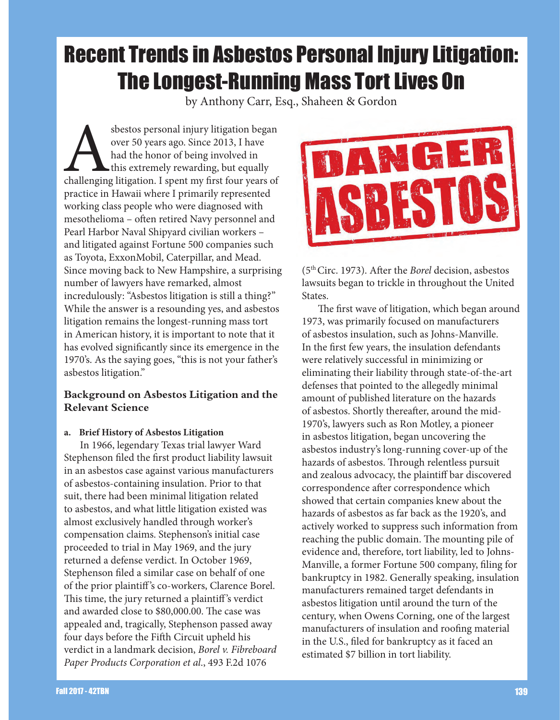# Recent Trends in Asbestos Personal Injury Litigation: The Longest-Running Mass Tort Lives On

by Anthony Carr, Esq., Shaheen & Gordon

sbestos personal injury litigation began<br>
over 50 years ago. Since 2013, I have<br>
had the honor of being involved in<br>
this extremely rewarding, but equally<br>
challenging litigation. I spent my first four years of over 50 years ago. Since 2013, I have had the honor of being involved in this extremely rewarding, but equally practice in Hawaii where I primarily represented working class people who were diagnosed with mesothelioma – often retired Navy personnel and Pearl Harbor Naval Shipyard civilian workers – and litigated against Fortune 500 companies such as Toyota, ExxonMobil, Caterpillar, and Mead. Since moving back to New Hampshire, a surprising number of lawyers have remarked, almost incredulously: "Asbestos litigation is still a thing?" While the answer is a resounding yes, and asbestos litigation remains the longest-running mass tort in American history, it is important to note that it has evolved significantly since its emergence in the 1970's. As the saying goes, "this is not your father's asbestos litigation."

# **Background on Asbestos Litigation and the Relevant Science**

## **a. Brief History of Asbestos Litigation**

In 1966, legendary Texas trial lawyer Ward Stephenson filed the first product liability lawsuit in an asbestos case against various manufacturers of asbestos-containing insulation. Prior to that suit, there had been minimal litigation related to asbestos, and what little litigation existed was almost exclusively handled through worker's compensation claims. Stephenson's initial case proceeded to trial in May 1969, and the jury returned a defense verdict. In October 1969, Stephenson filed a similar case on behalf of one of the prior plaintiff 's co-workers, Clarence Borel. This time, the jury returned a plaintiff 's verdict and awarded close to \$80,000.00. The case was appealed and, tragically, Stephenson passed away four days before the Fifth Circuit upheld his verdict in a landmark decision, *Borel v. Fibreboard Paper Products Corporation et al*., 493 F.2d 1076



(5th Circ. 1973). After the *Borel* decision, asbestos lawsuits began to trickle in throughout the United States.

The first wave of litigation, which began around 1973, was primarily focused on manufacturers of asbestos insulation, such as Johns-Manville. In the first few years, the insulation defendants were relatively successful in minimizing or eliminating their liability through state-of-the-art defenses that pointed to the allegedly minimal amount of published literature on the hazards of asbestos. Shortly thereafter, around the mid-1970's, lawyers such as Ron Motley, a pioneer in asbestos litigation, began uncovering the asbestos industry's long-running cover-up of the hazards of asbestos. Through relentless pursuit and zealous advocacy, the plaintiff bar discovered correspondence after correspondence which showed that certain companies knew about the hazards of asbestos as far back as the 1920's, and actively worked to suppress such information from reaching the public domain. The mounting pile of evidence and, therefore, tort liability, led to Johns-Manville, a former Fortune 500 company, filing for bankruptcy in 1982. Generally speaking, insulation manufacturers remained target defendants in asbestos litigation until around the turn of the century, when Owens Corning, one of the largest manufacturers of insulation and roofing material in the U.S., filed for bankruptcy as it faced an estimated \$7 billion in tort liability.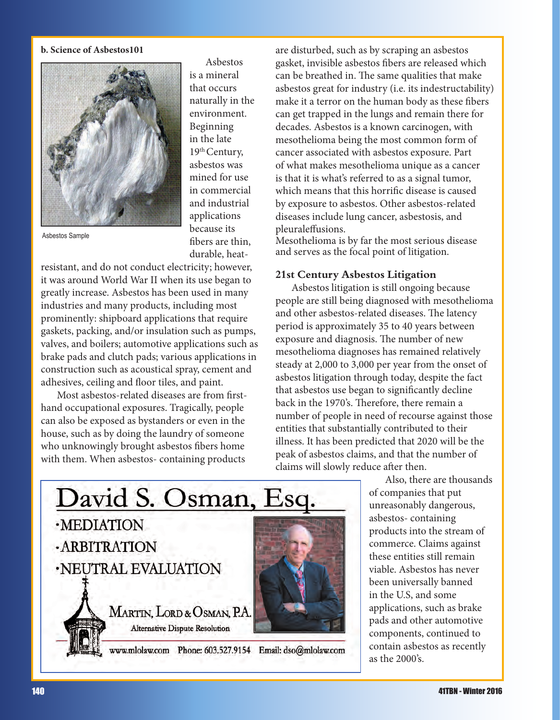#### **b. Science of Asbestos101**



Asbestos is a mineral that occurs naturally in the environment. Beginning in the late 19<sup>th</sup> Century, asbestos was mined for use in commercial and industrial applications because its fibers are thin, durable, heat-

Asbestos Sample

resistant, and do not conduct electricity; however, it was around World War II when its use began to greatly increase. Asbestos has been used in many industries and many products, including most prominently: shipboard applications that require gaskets, packing, and/or insulation such as pumps, valves, and boilers; automotive applications such as brake pads and clutch pads; various applications in construction such as acoustical spray, cement and adhesives, ceiling and floor tiles, and paint.

Most asbestos-related diseases are from firsthand occupational exposures. Tragically, people can also be exposed as bystanders or even in the house, such as by doing the laundry of someone who unknowingly brought asbestos fibers home with them. When asbestos- containing products

are disturbed, such as by scraping an asbestos gasket, invisible asbestos fibers are released which can be breathed in. The same qualities that make asbestos great for industry (i.e. its indestructability) make it a terror on the human body as these fibers can get trapped in the lungs and remain there for decades. Asbestos is a known carcinogen, with mesothelioma being the most common form of cancer associated with asbestos exposure. Part of what makes mesothelioma unique as a cancer is that it is what's referred to as a signal tumor, which means that this horrific disease is caused by exposure to asbestos. Other asbestos-related diseases include lung cancer, asbestosis, and pleuraleffusions.

Mesothelioma is by far the most serious disease and serves as the focal point of litigation.

#### **21st Century Asbestos Litigation**

Asbestos litigation is still ongoing because people are still being diagnosed with mesothelioma and other asbestos-related diseases. The latency period is approximately 35 to 40 years between exposure and diagnosis. The number of new mesothelioma diagnoses has remained relatively steady at 2,000 to 3,000 per year from the onset of asbestos litigation through today, despite the fact that asbestos use began to significantly decline back in the 1970's. Therefore, there remain a number of people in need of recourse against those entities that substantially contributed to their illness. It has been predicted that 2020 will be the peak of asbestos claims, and that the number of claims will slowly reduce after then.

Also, there are thousands of companies that put unreasonably dangerous, asbestos- containing products into the stream of commerce. Claims against these entities still remain viable. Asbestos has never been universally banned in the U.S, and some applications, such as brake pads and other automotive components, continued to contain asbestos as recently as the 2000's.

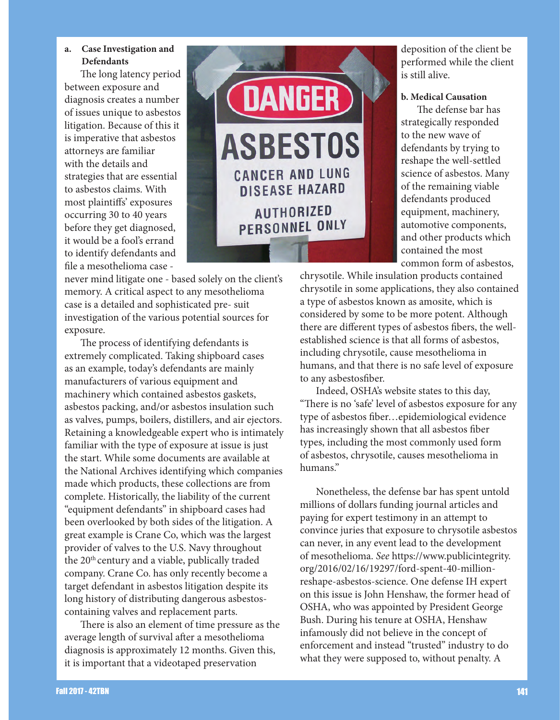#### **a. Case Investigation and Defendants**

The long latency period between exposure and diagnosis creates a number of issues unique to asbestos litigation. Because of this it is imperative that asbestos attorneys are familiar with the details and strategies that are essential to asbestos claims. With most plaintiffs' exposures occurring 30 to 40 years before they get diagnosed, it would be a fool's errand to identify defendants and file a mesothelioma case -



never mind litigate one - based solely on the client's memory. A critical aspect to any mesothelioma case is a detailed and sophisticated pre- suit investigation of the various potential sources for exposure.

The process of identifying defendants is extremely complicated. Taking shipboard cases as an example, today's defendants are mainly manufacturers of various equipment and machinery which contained asbestos gaskets, asbestos packing, and/or asbestos insulation such as valves, pumps, boilers, distillers, and air ejectors. Retaining a knowledgeable expert who is intimately familiar with the type of exposure at issue is just the start. While some documents are available at the National Archives identifying which companies made which products, these collections are from complete. Historically, the liability of the current "equipment defendants" in shipboard cases had been overlooked by both sides of the litigation. A great example is Crane Co, which was the largest provider of valves to the U.S. Navy throughout the 20<sup>th</sup> century and a viable, publically traded company. Crane Co. has only recently become a target defendant in asbestos litigation despite its long history of distributing dangerous asbestoscontaining valves and replacement parts.

There is also an element of time pressure as the average length of survival after a mesothelioma diagnosis is approximately 12 months. Given this, it is important that a videotaped preservation

deposition of the client be performed while the client is still alive.

#### **b. Medical Causation**

The defense bar has strategically responded to the new wave of defendants by trying to reshape the well-settled science of asbestos. Many of the remaining viable defendants produced equipment, machinery, automotive components, and other products which contained the most common form of asbestos,

chrysotile. While insulation products contained chrysotile in some applications, they also contained a type of asbestos known as amosite, which is considered by some to be more potent. Although there are different types of asbestos fibers, the wellestablished science is that all forms of asbestos, including chrysotile, cause mesothelioma in humans, and that there is no safe level of exposure to any asbestosfiber.

Indeed, OSHA's website states to this day, "There is no 'safe' level of asbestos exposure for any type of asbestos fiber…epidemiological evidence has increasingly shown that all asbestos fiber types, including the most commonly used form of asbestos, chrysotile, causes mesothelioma in humans."

Nonetheless, the defense bar has spent untold millions of dollars funding journal articles and paying for expert testimony in an attempt to convince juries that exposure to chrysotile asbestos can never, in any event lead to the development of mesothelioma. *See* https://www.publicintegrity. org/2016/02/16/19297/ford-spent-40-millionreshape-asbestos-science. One defense IH expert on this issue is John Henshaw, the former head of OSHA, who was appointed by President George Bush. During his tenure at OSHA, Henshaw infamously did not believe in the concept of enforcement and instead "trusted" industry to do what they were supposed to, without penalty. A